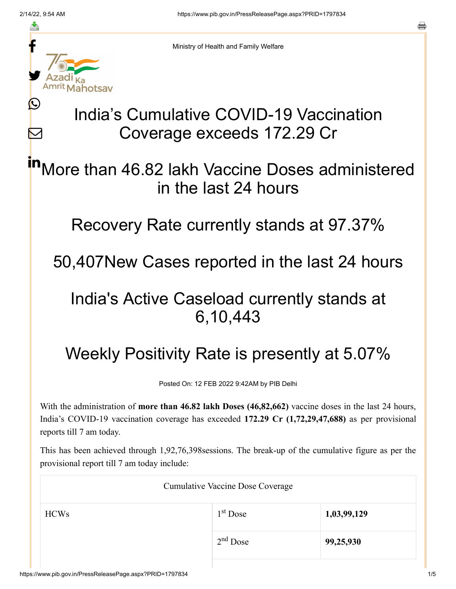≛

Ŀ

 $\bm{\nabla}$ 



Ministry of Health and Family Welfare

# India's Cumulative COVID-19 Vaccination Coverage exceeds 172.29 Cr

More than 46.82 lakh Vaccine Doses administered in the last 24 hours in

Recovery Rate currently stands at 97.37%

50,407New Cases reported in the last 24 hours

### India's Active Caseload currently stands at 6,10,443

## Weekly Positivity Rate is presently at 5.07%

Posted On: 12 FEB 2022 9:42AM by PIB Delhi

With the administration of **more than 46.82 lakh Doses (46,82,662)** vaccine doses in the last 24 hours, India's COVID-19 vaccination coverage has exceeded **172.29 Cr (1,72,29,47,688)** as per provisional reports till 7 am today.

This has been achieved through 1,92,76,398sessions. The break-up of the cumulative figure as per the provisional report till 7 am today include:

| <b>Cumulative Vaccine Dose Coverage</b> |            |             |
|-----------------------------------------|------------|-------------|
| <b>HCWs</b>                             | $1st$ Dose | 1,03,99,129 |
|                                         | $2nd$ Dose | 99,25,930   |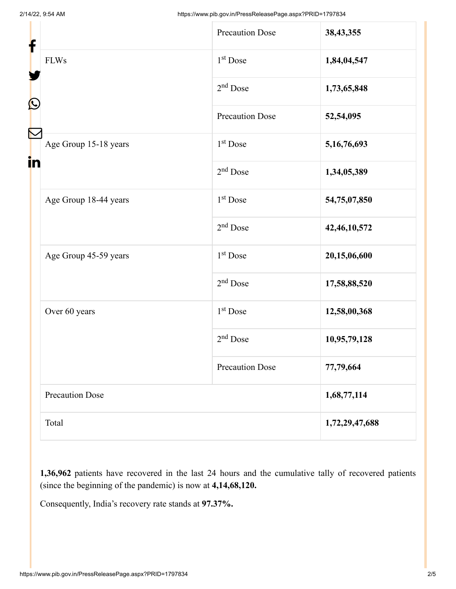| f<br>$\mathbf{\Omega}$ |                        | <b>Precaution Dose</b> | 38,43,355      |
|------------------------|------------------------|------------------------|----------------|
|                        | <b>FLWs</b>            | $1st$ Dose             | 1,84,04,547    |
|                        |                        | $2nd$ Dose             | 1,73,65,848    |
|                        |                        | <b>Precaution Dose</b> | 52,54,095      |
| in                     | Age Group 15-18 years  | $1st$ Dose             | 5,16,76,693    |
|                        |                        | $2nd$ Dose             | 1,34,05,389    |
|                        | Age Group 18-44 years  | $1st$ Dose             | 54,75,07,850   |
|                        |                        | $2nd$ Dose             | 42,46,10,572   |
|                        | Age Group 45-59 years  | 1 <sup>st</sup> Dose   | 20,15,06,600   |
|                        |                        | $2nd$ Dose             | 17,58,88,520   |
|                        | Over 60 years          | $1st$ Dose             | 12,58,00,368   |
|                        |                        | $2nd$ Dose             | 10,95,79,128   |
|                        |                        | <b>Precaution Dose</b> | 77,79,664      |
|                        | <b>Precaution Dose</b> |                        | 1,68,77,114    |
|                        | Total                  |                        | 1,72,29,47,688 |

**1,36,962** patients have recovered in the last 24 hours and the cumulative tally of recovered patients (since the beginning of the pandemic) is now at **4,14,68,120.**

Consequently, India's recovery rate stands at **97.37%.**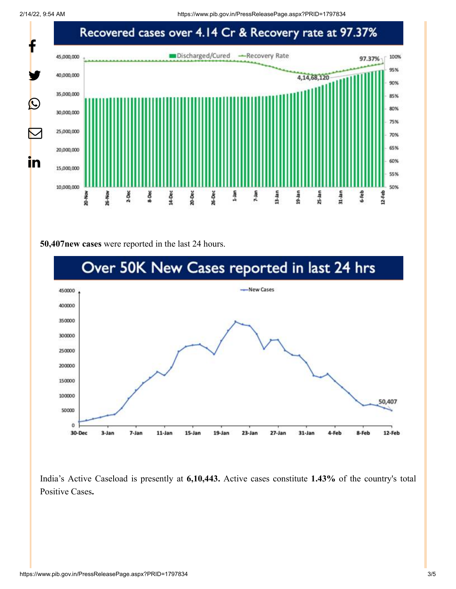

#### **50,407new cases** were reported in the last 24 hours.



India's Active Caseload is presently at **6,10,443.** Active cases constitute **1.43%** of the country's total Positive Cases**.**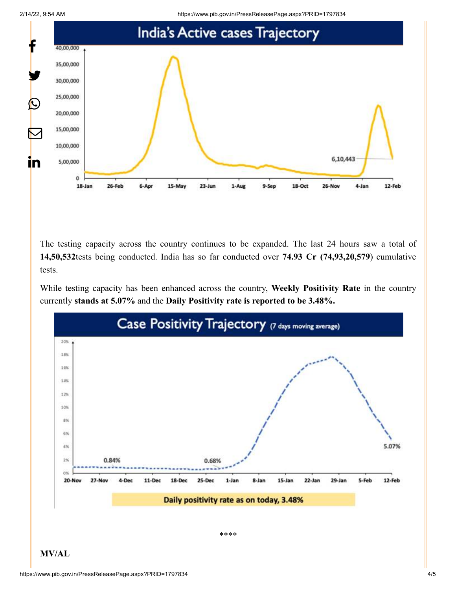2/14/22, 9:54 AM https://www.pib.gov.in/PressReleasePage.aspx?PRID=1797834



The testing capacity across the country continues to be expanded. The last 24 hours saw a total of **14,50,532**tests being conducted. India has so far conducted over **74.93 Cr (74,93,20,579**) cumulative tests.

While testing capacity has been enhanced across the country, **Weekly Positivity Rate** in the country currently **stands at 5.07%** and the **Daily Positivity rate is reported to be 3.48%.**